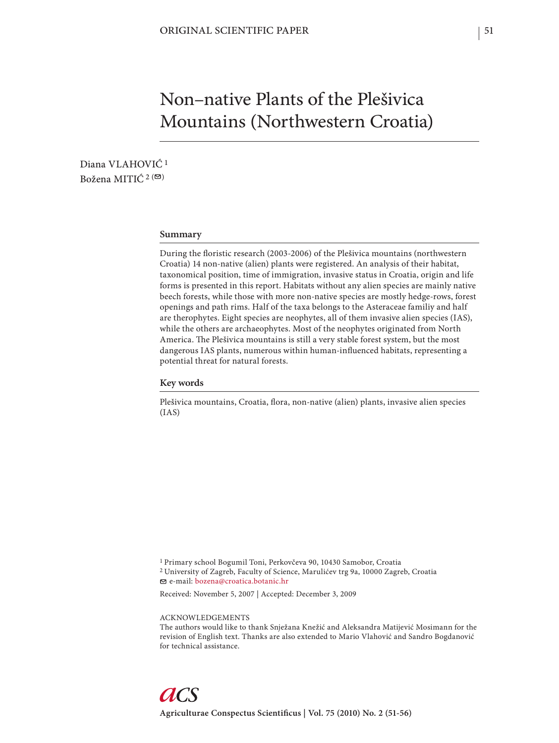# Non–native Plants of the Plešivica Mountains (Northwestern Croatia)

Diana VLAHOVIĆ<sup>1</sup> Božena MITIĆ  $2(\mathcal{D})$ 

### **Summary**

During the floristic research (2003-2006) of the Plešivica mountains (northwestern Croatia) 14 non-native (alien) plants were registered. An analysis of their habitat, taxonomical position, time of immigration, invasive status in Croatia, origin and life forms is presented in this report. Habitats without any alien species are mainly native beech forests, while those with more non-native species are mostly hedge-rows, forest openings and path rims. Half of the taxa belongs to the Asteraceae familiy and half are therophytes. Eight species are neophytes, all of them invasive alien species (IAS), while the others are archaeophytes. Most of the neophytes originated from North America. The Plešivica mountains is still a very stable forest system, but the most dangerous IAS plants, numerous within human-influenced habitats, representing a potential threat for natural forests.

#### **Key words**

Plešivica mountains, Croatia, flora, non-native (alien) plants, invasive alien species (IAS)

1 Primary school Bogumil Toni, Perkovčeva 90, 10430 Samobor, Croatia 2 University of Zagreb, Faculty of Science, Marulićev trg 9a, 10000 Zagreb, Croatia e-mail: bozena@croatica.botanic.hr

Received: November 5, 2007 | Accepted: December 3, 2009

ACKNOWLEDGEMENTS

The authors would like to thank Snježana Knežić and Aleksandra Matijević Mosimann for the revision of English text. Thanks are also extended to Mario Vlahović and Sandro Bogdanović for technical assistance.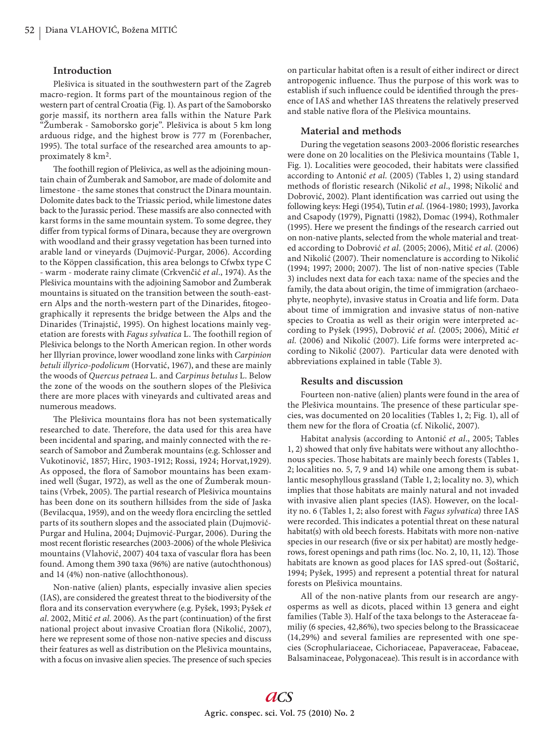#### **Introduction**

Plešivica is situated in the southwestern part of the Zagreb macro-region. It forms part of the mountainous region of the western part of central Croatia (Fig. 1). As part of the Samoborsko gorje massif, its northern area falls within the Nature Park "Žumberak - Samoborsko gorje". Plešivica is about 5 km long arduous ridge, and the highest brow is 777 m (Forenbacher, 1995). The total surface of the researched area amounts to approximately 8 km2.

The foothill region of Plešivica, as well as the adjoining mountain chain of Žumberak and Samobor, are made of dolomite and limestone - the same stones that construct the Dinara mountain. Dolomite dates back to the Triassic period, while limestone dates back to the Jurassic period. These massifs are also connected with karst forms in the same mountain system. To some degree, they differ from typical forms of Dinara, because they are overgrown with woodland and their grassy vegetation has been turned into arable land or vineyards (Dujmović-Purgar, 2006). According to the Köppen classification, this area belongs to Cfwbx type C - warm - moderate rainy climate (Crkvenčić *et al.*, 1974). As the Plešivica mountains with the adjoining Samobor and Žumberak mountains is situated on the transition between the south-eastern Alps and the north-western part of the Dinarides, fitogeographically it represents the bridge between the Alps and the Dinarides (Trinajstić, 1995). On highest locations mainly vegetation are forests with *Fagus sylvatica* L. The foothill region of Plešivica belongs to the North American region. In other words her Illyrian province, lower woodland zone links with *Carpinion betuli illyrico-podolicum* (Horvatić, 1967), and these are mainly the woods of *Quercus petraea* L. and *Carpinus betulus* L. Below the zone of the woods on the southern slopes of the Plešivica there are more places with vineyards and cultivated areas and numerous meadows.

The Plešivica mountains flora has not been systematically researched to date. Therefore, the data used for this area have been incidental and sparing, and mainly connected with the research of Samobor and Žumberak mountains (e.g. Schlosser and Vukotinović, 1857; Hirc, 1903-1912; Rossi, 1924; Horvat,1929). As opposed, the flora of Samobor mountains has been examined well (Šugar, 1972), as well as the one of Žumberak mountains (Vrbek, 2005). The partial research of Plešivica mountains has been done on its southern hillsides from the side of Jaska (Bevilacqua, 1959), and on the weedy flora encircling the settled parts of its southern slopes and the associated plain (Dujmović-Purgar and Hulina, 2004; Dujmović-Purgar, 2006). During the most recent floristic researches (2003-2006) of the whole Plešivica mountains (Vlahović, 2007) 404 taxa of vascular flora has been found. Among them 390 taxa (96%) are native (autochthonous) and 14 (4%) non-native (allochthonous).

Non-native (alien) plants, especially invasive alien species (IAS), are considered the greatest threat to the biodiversity of the flora and its conservation everywhere (e.g. Pyšek, 1993; Pyšek et *al.* 2002, Mitić *et al.* 2006). As the part (continuation) of the first national project about invasive Croatian flora (Nikolić, 2007), here we represent some of those non-native species and discuss their features as well as distribution on the Plešivica mountains, with a focus on invasive alien species. The presence of such species on particular habitat often is a result of either indirect or direct antropogenic influence. Thus the purpose of this work was to establish if such influence could be identified through the presence of IAS and whether IAS threatens the relatively preserved and stable native flora of the Plešivica mountains.

#### **Material and methods**

During the vegetation seasons 2003-2006 floristic researches were done on 20 localities on the Plešivica mountains (Table 1, Fig. 1). Localities were geocoded, their habitats were classified according to Antonić *et al.* (2005) (Tables 1, 2) using standard methods of floristic research (Nikolić et al., 1998; Nikolić and Dobrović, 2002). Plant identification was carried out using the following keys: Hegi (1954), Tutin *et al.* (1964-1980; 1993), Javorka and Csapody (1979), Pignatti (1982), Domac (1994), Rothmaler (1995). Here we present the findings of the research carried out on non-native plants, selected from the whole material and treated according to Dobrović *et al.* (2005; 2006), Mitić *et al.* (2006) and Nikolić (2007). Their nomenclature is according to Nikolić (1994; 1997; 2000; 2007). The list of non-native species (Table 3) includes next data for each taxa: name of the species and the family, the data about origin, the time of immigration (archaeophyte, neophyte), invasive status in Croatia and life form. Data about time of immigration and invasive status of non-native species to Croatia as well as their origin were interpreted according to Pyšek (1995), Dobrović *et al.* (2005; 2006), Mitić *et al.* (2006) and Nikolić (2007). Life forms were interpreted according to Nikolić (2007). Particular data were denoted with abbreviations explained in table (Table 3).

## **Results and discussion**

Fourteen non-native (alien) plants were found in the area of the Plešivica mountains. The presence of these particular species, was documented on 20 localities (Tables 1, 2; Fig. 1), all of them new for the flora of Croatia (cf. Nikolić, 2007).

Habitat analysis (according to Antonić *et al*., 2005; Tables 1, 2) showed that only five habitats were without any allochthonous species. Those habitats are mainly beech forests (Tables 1, 2; localities no. 5, 7, 9 and 14) while one among them is subatlantic mesophyllous grassland (Table 1, 2; locality no. 3), which implies that those habitats are mainly natural and not invaded with invasive alien plant species (IAS). However, on the locality no. 6 (Tables 1, 2; also forest with *Fagus sylvatica*) three IAS were recorded. This indicates a potential threat on these natural habitat(s) with old beech forests. Habitats with more non-native species in our research (five or six per habitat) are mostly hedgerows, forest openings and path rims (loc. No. 2, 10, 11, 12). Those habitats are known as good places for IAS spred-out (Šoštarić, 1994; Pyšek, 1995) and represent a potential threat for natural forests on Plešivica mountains.

All of the non-native plants from our research are angyosperms as well as dicots, placed within 13 genera and eight families (Table 3). Half of the taxa belongs to the Asteraceae familiy (6 species, 42,86%), two species belong to the Brassicaceae (14,29%) and several families are represented with one species (Scrophulariaceae, Cichoriaceae, Papaveraceae, Fabaceae, Balsaminaceae, Polygonaceae). This result is in accordance with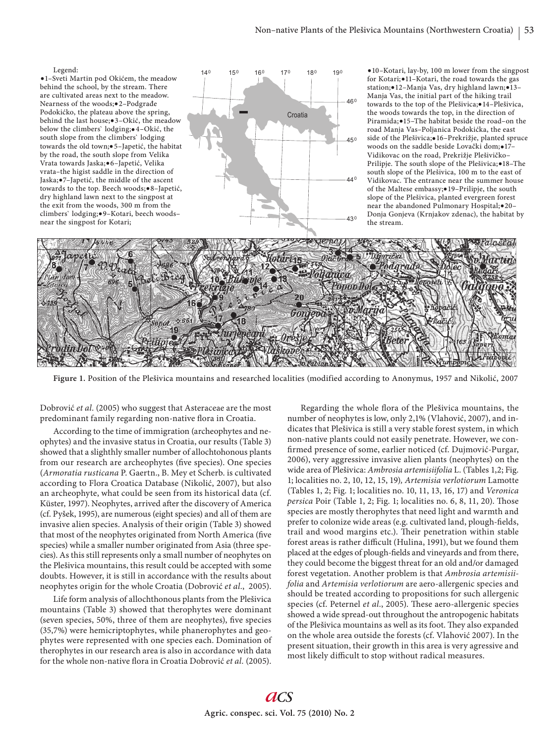

**Figure 1.** Position of the Plešivica mountains and researched localities (modified according to Anonymus, 1957 and Nikolić, 2007

Dobrović *et al.* (2005) who suggest that Asteraceae are the most predominant family regarding non-native flora in Croatia.

According to the time of immigration (archeophytes and neophytes) and the invasive status in Croatia, our results (Table 3) showed that a slighthly smaller number of allochtohonous plants from our research are archeophytes (five species). One species (*Armoratia rusticana* P. Gaertn., B. Mey et Scherb. is cultivated according to Flora Croatica Database (Nikolić, 2007), but also an archeophyte, what could be seen from its historical data (cf. Küster, 1997). Neophytes, arrived after the discovery of America (cf. Pyšek, 1995), are numerous (eight species) and all of them are invasive alien species. Analysis of their origin (Table 3) showed that most of the neophytes originated from North America (five species) while a smaller number originated from Asia (three species). As this still represents only a small number of neophytes on the Plešivica mountains, this result could be accepted with some doubts. However, it is still in accordance with the results about neophytes origin for the whole Croatia (Dobrović *et al.*, 2005).

Life form analysis of allochthonous plants from the Plešivica mountains (Table 3) showed that therophytes were dominant (seven species, 50%, three of them are neophytes), five species (35,7%) were hemicriptophytes, while phanerophytes and geophytes were represented with one species each. Domination of therophytes in our research area is also in accordance with data for the whole non-native flora in Croatia Dobrović et al. (2005).

Regarding the whole flora of the Plešivica mountains, the number of neophytes is low, only 2,1% (Vlahović, 2007), and indicates that Plešivica is still a very stable forest system, in which non-native plants could not easily penetrate. However, we confirmed presence of some, earlier noticed (cf. Dujmović-Purgar, 2006), very aggressive invasive alien plants (neophytes) on the wide area of Plešivica: *Ambrosia artemisiifolia* L. (Tables 1,2; Fig. 1; localities no. 2, 10, 12, 15, 19)*, Artemisia verlotiorum* Lamotte (Tables 1, 2; Fig. 1; localities no. 10, 11, 13, 16, 17) and *Veronica persica* Poir (Table 1, 2; Fig. 1; localities no. 6, 8, 11, 20). Those species are mostly therophytes that need light and warmth and prefer to colonize wide areas (e.g. cultivated land, plough-fields, trail and wood margins etc.). Their penetration within stable forest areas is rather difficult (Hulina, 1991), but we found them placed at the edges of plough-fields and vineyards and from there, they could become the biggest threat for an old and/or damaged forest vegetation. Another problem is that *Ambrosia artemisiifolia* and *Artemisia verlotiorum* are aero-allergenic species and should be treated according to propositions for such allergenic species (cf. Peternel et al., 2005). These aero-allergenic species showed a wide spread-out throughout the antropogenic habitats of the Plešivica mountains as well as its foot. They also expanded on the whole area outside the forests (cf. Vlahović 2007). In the present situation, their growth in this area is very agressive and most likely difficult to stop without radical measures.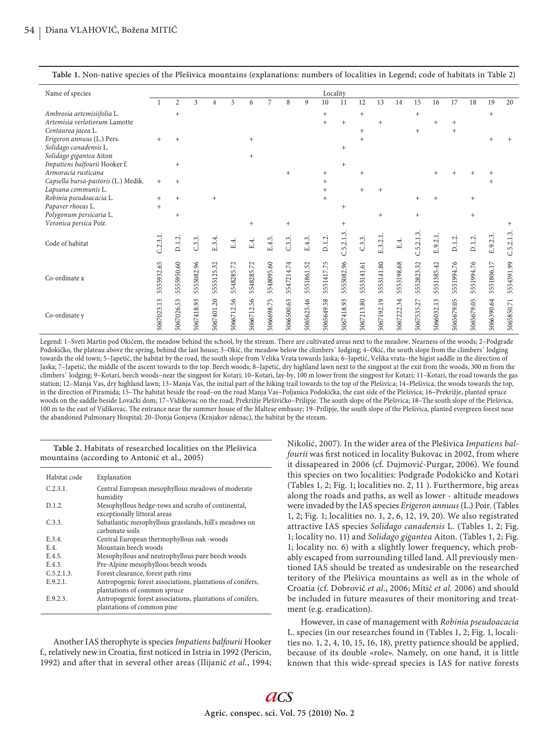| Name of species                                          |                 |                |            |            |            |            |            |            |            |            | Locality   |            |            |            |            |            |            |            |            |            |
|----------------------------------------------------------|-----------------|----------------|------------|------------|------------|------------|------------|------------|------------|------------|------------|------------|------------|------------|------------|------------|------------|------------|------------|------------|
|                                                          |                 | $\overline{2}$ | 3          | 4          | 5          | 6          | 7          | 8          | 9          | 10         | 11         | 12         | 13         | 14         | 15         | 16         | 17         | 18         | 19         | 20         |
| Ambrosia artemisiifolia L.                               |                 | $^{+}$         |            |            |            |            |            |            |            | $+$        |            | $+$        |            |            | $^{+}$     |            |            |            | $+$        |            |
| Artemisia verlotiorum Lamotte                            |                 |                |            |            |            |            |            |            |            | $+$        | $+$        |            | $^{+}$     |            |            | $\ddot{}$  | $^{+}$     |            |            |            |
| Centaurea jacea L.                                       |                 |                |            |            |            |            |            |            |            |            |            | $+$        |            |            | $+$        |            | $+$        |            |            |            |
| Erigeron annuus (L.) Pers.                               | $^{+}$          | $^{+}$         |            |            |            | $+$        |            |            |            |            |            | $^{+}$     |            |            |            |            |            |            |            |            |
| Solidago canadensis L.                                   |                 |                |            |            |            |            |            |            |            |            | $^{+}$     |            |            |            |            |            |            |            |            |            |
| Solidago gigantea Aiton<br>Impatiens balfourii Hooker f. |                 | $+$            |            |            |            | $+$        |            |            |            |            | $+$        |            |            |            |            |            |            |            |            |            |
| Armoracia rusticana                                      |                 |                |            |            |            |            |            | $+$        |            | $^{+}$     |            | $^{+}$     |            |            |            |            |            |            |            |            |
| Capsella bursa-pastoris (L.) Medik.                      | $\! + \!\!\!\!$ | $^{+}$         |            |            |            |            |            |            |            |            |            |            |            |            |            |            |            |            |            |            |
| Lapsana communis L.                                      |                 |                |            |            |            |            |            |            |            | $^{+}$     |            | $^{+}$     |            |            |            |            |            |            |            |            |
| Robinia pseudoacacia L.                                  | $^+$            | $^{+}$         |            | $+$        |            |            |            |            |            | $+$        |            |            |            |            |            | $+$        |            | $^{+}$     |            |            |
| Papaver rhoeas L.                                        | $+$             |                |            |            |            |            |            |            |            |            |            |            |            |            |            |            |            |            |            |            |
| Polygonum persicaria L.                                  |                 | $^{+}$         |            |            |            |            |            |            |            |            |            |            | $\ddot{}$  |            | $^{+}$     |            |            | $^{+}$     |            |            |
| Veronica persica Poir.                                   |                 |                |            |            |            | $+$        |            | $+$        |            |            | $^{+}$     |            |            |            |            |            |            |            |            | $^{+}$     |
|                                                          |                 |                |            |            |            |            |            |            |            |            |            |            |            |            |            |            |            |            |            | C.5.2.1.3. |
| Code of habitat                                          | C.2.3.1         | D.1.2          | C.3.3      | E.3.4      | E.4.       | E.4.       | E.4.5.     | C.3.3      | E.4.3.     | D.1.2.     | C.5.2.1.3  | C.3.3      | E.3.2.1    | E4.        | C.5.2.1    | E.9.2.1    | D.1.2.     | D.1.2      | E.9.2.3.   |            |
|                                                          |                 |                |            |            |            |            |            |            |            |            |            |            |            |            |            |            |            |            |            |            |
|                                                          |                 |                |            |            |            |            |            |            |            |            |            |            |            |            |            |            |            |            |            |            |
|                                                          | 5555932.65      | 55950.60       | 5555082.96 | 5555125.32 | 5548285.72 | 5548285.72 | 5548095.60 | 5547214.74 | 5551861.52 | 5551417.75 | 5555082.96 | 5553141.61 | 5553141.80 | 5553198.68 | 5552823.32 | 5551385.42 | 5551994.76 | 5551994.76 | 5551806.17 | 5554391.99 |
| Co-ordinate x                                            |                 |                |            |            |            |            |            |            |            |            |            |            |            |            |            |            |            |            |            |            |
|                                                          |                 | 5S             |            |            |            |            |            |            |            |            |            |            |            |            |            |            |            |            |            |            |
|                                                          |                 |                |            |            |            |            |            |            |            |            |            |            |            |            |            |            |            |            |            |            |
|                                                          | 5067023.13      | 5067026.53     | 5067418.93 | 5067401.20 | 5066712.56 | 5066712.56 | 5066698.75 | 5066500.63 | 5065625.46 | 5065649.58 | 5067418.93 | 5067213.80 | 5067192.19 | 5067222.34 | 5067535.27 | 5066032.13 | 5065679.05 | 5065679.05 | 5066390.64 | 5065850.71 |
| Co-ordinate y                                            |                 |                |            |            |            |            |            |            |            |            |            |            |            |            |            |            |            |            |            |            |
|                                                          |                 |                |            |            |            |            |            |            |            |            |            |            |            |            |            |            |            |            |            |            |

**Table 1.** Non-native species of the Plešivica mountains (explanations: numbers of localities in Legend; code of habitats in Table 2)

Legend: 1–Sveti Martin pod Okićem, the meadow behind the school, by the stream. There are cultivated areas next to the meadow. Nearness of the woods; 2–Podgrađe Podokićko, the plateau above the spring, behind the last house; 3–Okić, the meadow below the climbers` lodging; 4–Okić, the south slope from the climbers` lodging towards the old town; 5–Japetić, the habitat by the road, the south slope from Velika Vrata towards Jaska; 6–Japetić, Velika vrata–the higist saddle in the direction of Jaska; 7–Japetić, the middle of the ascent towards to the top. Beech woods; 8–Japetić, dry highland lawn next to the singpost at the exit from the woods, 300 m from the climbers` lodging; 9–Kotari, beech woods–near the singpost for Kotari; 10–Kotari, lay-by, 100 m lower from the singpost for Kotari; 11–Kotari, the road towards the gas station; 12–Manja Vas, dry highland lawn; 13–Manja Vas, the initial part of the hiking trail towards to the top of the Plešivica; 14–Plešivica, the woods towards the top, in the direction of Piramida; 15–The habitat beside the road–on the road Manja Vas–Poljanica Podokićka, the east side of the Plešivica; 16–Prekrižje, planted spruce woods on the saddle beside Lovački dom; 17–Vidikovac on the road, Prekrižje Plešivičko–Prilipje. The south slope of the Plešivica; 18–The south slope of the Plešivica, 100 m to the east of Vidikovac. The entrance near the summer house of the Maltese embassy; 19–Prilipje, the south slope of the Plešivica, planted evergreen forest near the abandoned Pulmonary Hospital; 20–Donja Gonjeva (Krnjakov zdenac), the habitat by the stream.

**Table 2.** Habitats of researched localities on the Plešivica mountains (according to Antonić et al., 2005)

| Habitat code | Explanation                                                                                |
|--------------|--------------------------------------------------------------------------------------------|
| C.2.3.1.     | Central European mesophyllous meadows of moderate<br>humidity                              |
| D.1.2.       | Mesophyllous hedge-rows and scrubs of continental,<br>exceptionally littoral areas         |
| C.3.3.       | Subatlantic mesophyllous grasslands, hill's meadows on<br>carbonate soils                  |
| E.3.4.       | Central European thermophyllous oak -woods                                                 |
| E.4.         | Mountain beech woods                                                                       |
| E.4.5.       | Mesophyllous and neutrophyllous pure beech woods                                           |
| E.4.3.       | Pre-Alpine mesophyllous beech woods                                                        |
| C.5.2.1.3.   | Forest clearance, forest path rims                                                         |
| E.9.2.1.     | Antropogenic forest associations, plantations of conifers,<br>plantations of common spruce |
| E.9.2.3.     | Antropogenic forest associations, plantations of conifers,<br>plantations of common pine   |

Another IAS therophyte is species *Impatiens balfourii* Hooker f., relatively new in Croatia, first noticed in Istria in 1992 (Pericin, 1992) and after that in several other areas (Ilijanić *et al.*, 1994; Nikolić, 2007). In the wider area of the Plešivica *Impatiens balfourii* was first noticed in locality Bukovac in 2002, from where it dissapeared in 2006 (cf. Dujmović-Purgar, 2006). We found this species on two localities: Podgrađe Podokićko and Kotari (Tables 1, 2; Fig. 1; localities no. 2, 11 ). Furthermore, big areas along the roads and paths, as well as lower - altitude meadows were invaded by the IAS species *Erigeron annuus* (L.) Poir. (Tables 1, 2; Fig. 1; localities no. 1, 2, 6, 12, 19, 20). We also registrated attractive IAS species *Solidago canadensis* L. (Tables 1, 2; Fig. 1; locality no. 11) and *Solidago gigantea* Aiton. (Tables 1, 2; Fig. 1; locality no. 6) with a slightly lower frequency, which probably escaped from surrounding tilled land. All previously mentioned IAS should be treated as undesirable on the researched teritory of the Plešivica mountains as well as in the whole of Croatia (cf. Dobrović *et al.*, 2006; Mitić *et al.* 2006) and should be included in future measures of their monitoring and treatment (e.g. eradication).

However, in case of management with *Robinia pseudoacacia* L. species (in our researches found in (Tables 1, 2; Fig. 1, localities no. 1, 2, 4, 10, 15, 16, 18), pretty patience should be applied, because of its double «role». Namely, on one hand, it is little known that this wide-spread species is IAS for native forests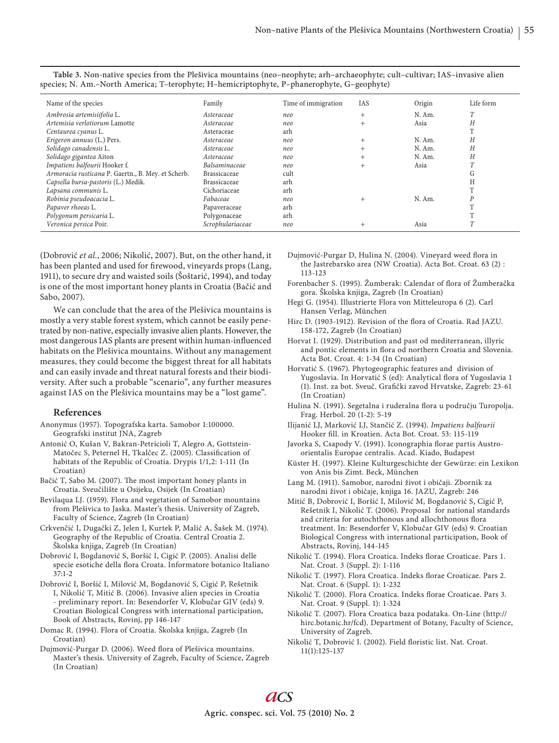| Name of the species                                | Family              | Time of immigration | IAS     | Origin   | Life form |
|----------------------------------------------------|---------------------|---------------------|---------|----------|-----------|
| Ambrosia artemisiifolia L.                         | Asteraceae          | neo                 | $^{+}$  | N. Am.   | T         |
| Artemisia verlotiorum Lamotte                      | Asteraceae          | neo                 | $+$     | Asia     | Η         |
| Centaurea cyanus L.                                | Asteraceae          | arh                 |         |          |           |
| Erigeron annuus (L.) Pers.                         | Asteraceae          | neo                 | $+$     | $N.$ Am. | Н         |
| Solidago canadensis L.                             | Asteraceae          | neo                 |         | N. Am.   | Н         |
| Solidago gigantea Aiton                            | Asteraceae          | neo                 | $^{+}$  | N. Am.   | Н         |
| Impatiens balfourii Hooker f.                      | Balsaminaceae       | neo                 |         | Asia     |           |
| Armoracia rusticana P. Gaertn., B. Mey. et Scherb. | <b>Brassicaceae</b> | cult                |         |          | ίτ        |
| Capsella bursa-pastoris (L.) Medik.                | <b>Brassicaceae</b> | arh                 |         |          |           |
| Lapsana communis L.                                | Cichoriaceae        | arh                 |         |          |           |
| Robinia pseudoacacia L.                            | Fabaceae            | neo                 | $^{+}$  | N. Am.   |           |
| Papaver rhoeas L.                                  | Papaveraceae        | arh                 |         |          |           |
| Polygonum persicaria L.                            | Polygonaceae        | arh                 |         |          |           |
| Veronica persica Poir.                             | Scrophulariaceae    | neo                 | $\,+\,$ | Asia     |           |

**Table 3.** Non-native species from the Plešivica mountains (neo–neophyte; arh–archaeophyte; cult–cultivar; IAS–invasive alien species; N. Am.–North America; T–terophyte; H–hemicriptophyte, P–phanerophyte, G–geophyte)

(Dobrović *et al.*, 2006; Nikolić, 2007). But, on the other hand, it has been planted and used for firewood, vineyards props (Lang, 1911), to secure dry and waisted soils (Šoštarić, 1994), and today is one of the most important honey plants in Croatia (Bačić and Sabo, 2007).

We can conclude that the area of the Plešivica mountains is mostly a very stable forest system, which cannot be easily penetrated by non-native, especially invasive alien plants. However, the most dangerous IAS plants are present within human-influenced habitats on the Plešivica mountains. Without any management measures, they could become the biggest threat for all habitats and can easily invade and threat natural forests and their biodiversity. After such a probable "scenario", any further measures against IAS on the Plešivica mountains may be a "lost game".

#### **References**

- Anonymus (1957). Topografska karta. Samobor 1:100000. Geografski institut JNA, Zagreb
- Antonić O, Kušan V, Bakran-Petricioli T, Alegro A, Gottstein-Matočec S, Peternel H, Tkalčec Z. (2005). Classification of habitats of the Republic of Croatia. Drypis 1/1,2: 1-111 (In Croatian)
- Bačić T, Sabo M. (2007). The most important honey plants in Croatia. Sveučilište u Osijeku, Osijek (In Croatian)
- Bevilaqua LJ. (1959). Flora and vegetation of Samobor mountains from Plešivica to Jaska. Master's thesis. University of Zagreb, Faculty of Science, Zagreb (In Croatian)
- Crkvenčić I, Dugački Z, Jelen I, Kurtek P, Malić A, Šašek M. (1974). Geography of the Republic of Croatia. Central Croatia 2. Školska knjiga, Zagreb (In Croatian)
- Dobrović I, Bogdanović S, Boršić I, Cigić P. (2005). Analisi delle specie esotiche della flora Croata. Informatore botanico Italiano 37:1-2
- Dobrović I, Boršić I, Milović M, Bogdanović S, Cigić P, Rešetnik I, Nikolić T, Mitić B. (2006). Invasive alien species in Croatia - preliminary report. In: Besendorfer V, Klobučar GIV (eds) 9. Croatian Biological Congress with international participation, Book of Abstracts, Rovinj, pp 146-147
- Domac R. (1994). Flora of Croatia. Školska knjiga, Zagreb (In Croatian)
- Dujmović-Purgar D. (2006). Weed flora of Plešivica mountains. Master's thesis. University of Zagreb, Faculty of Science, Zagreb (In Croatian)

Dujmović-Purgar D, Hulina N. (2004). Vineyard weed flora in the Jastrebarsko area (NW Croatia). Acta Bot. Croat. 63 (2) : 113-123

- Forenbacher S. (1995). Žumberak: Calendar of flora of Žumberačka gora. Školska knjiga, Zagreb (In Croatian)
- Hegi G. (1954). Illustrierte Flora von Mitteleuropa 6 (2). Carl Hansen Verlag, München
- Hirc D. (1903-1912). Revision of the flora of Croatia. Rad JAZU. 158-172, Zagreb (In Croatian)
- Horvat I. (1929). Distribution and past od mediterranean, illyric and pontic elements in flora od northern Croatia and Slovenia. Acta Bot. Croat. 4: 1-34 (In Croatian)
- Horvatić S. (1967). Phytogeographic features and division of Yugoslavia. In Horvatić S (ed): Analytical flora of Yugoslavia 1 (1). Inst. za bot. Sveuč. Grafički zavod Hrvatske, Zagreb: 23-61 (In Croatian)
- Hulina N. (1991). Segetalna i ruderalna flora u području Turopolja. Frag. Herbol. 20 (1-2): 5-19
- Ilijanić LJ, Marković LJ, Stančić Z. (1994). *Impatiens balfourii*  Hooker fill. in Kroatien. Acta Bot. Croat. 53: 115-119
- Javorka S, Csapody V. (1991). Iconographia florae partis Austroorientalis Europae centralis. Acad. Kiado, Budapest
- Küster H. (1997). Kleine Kulturgeschichte der Gewürze: ein Lexikon von Anis bis Zimt. Beck, München
- Lang M. (1911). Samobor, narodni život i običaji. Zbornik za narodni život i običaje, knjiga 16. JAZU, Zagreb: 246
- Mitić B, Dobrović I, Boršić I, Milović M, Bogdanović S, Cigić P, Rešetnik I, Nikolić T. (2006). Proposal for national standards and criteria for autochthonous and allochthonous flora treatment. In: Besendorfer V, Klobučar GIV (eds) 9. Croatian Biological Congress with international participation, Book of Abstracts, Rovinj, 144-145
- Nikolić T. (1994). Flora Croatica. Indeks florae Croaticae. Pars 1. Nat. Croat. 3 (Suppl. 2): 1-116
- Nikolić T. (1997). Flora Croatica. Indeks florae Croaticae. Pars 2. Nat. Croat. 6 (Suppl. 1): 1-232
- Nikolić T. (2000). Flora Croatica. Indeks florae Croaticae. Pars 3. Nat. Croat. 9 (Suppl. 1): 1-324
- Nikolić T. (2007). Flora Croatica baza podataka. On-Line (http:// hirc.botanic.hr/fcd). Department of Botany, Faculty of Science, University of Zagreb.
- Nikolić T, Dobrović I. (2002). Field floristic list. Nat. Croat. 11(1):125-137